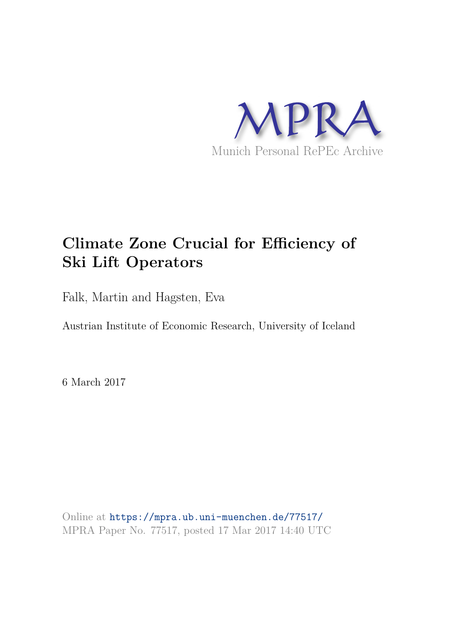

# **Climate Zone Crucial for Efficiency of Ski Lift Operators**

Falk, Martin and Hagsten, Eva

Austrian Institute of Economic Research, University of Iceland

6 March 2017

Online at https://mpra.ub.uni-muenchen.de/77517/ MPRA Paper No. 77517, posted 17 Mar 2017 14:40 UTC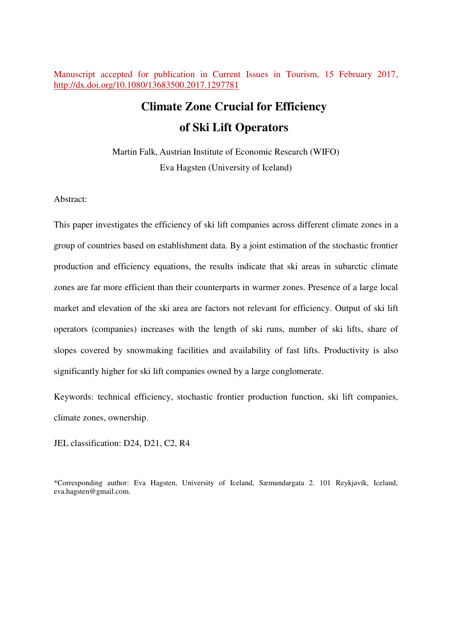Manuscript accepted for publication in Current Issues in Tourism, 15 February 2017, <http://dx.doi.org/10.1080/13683500.2017.1297781>

# **Climate Zone Crucial for Efficiency of Ski Lift Operators**

Martin Falk, Austrian Institute of Economic Research (WIFO) Eva Hagsten (University of Iceland)

Abstract:

This paper investigates the efficiency of ski lift companies across different climate zones in a group of countries based on establishment data. By a joint estimation of the stochastic frontier production and efficiency equations, the results indicate that ski areas in subarctic climate zones are far more efficient than their counterparts in warmer zones. Presence of a large local market and elevation of the ski area are factors not relevant for efficiency. Output of ski lift operators (companies) increases with the length of ski runs, number of ski lifts, share of slopes covered by snowmaking facilities and availability of fast lifts. Productivity is also significantly higher for ski lift companies owned by a large conglomerate.

Keywords: technical efficiency, stochastic frontier production function, ski lift companies, climate zones, ownership.

JEL classification: D24, D21, C2, R4

\*Corresponding author: Eva Hagsten, University of Iceland, Sæmundargata 2. 101 Reykjavík, Iceland, eva.hagsten@gmail.com.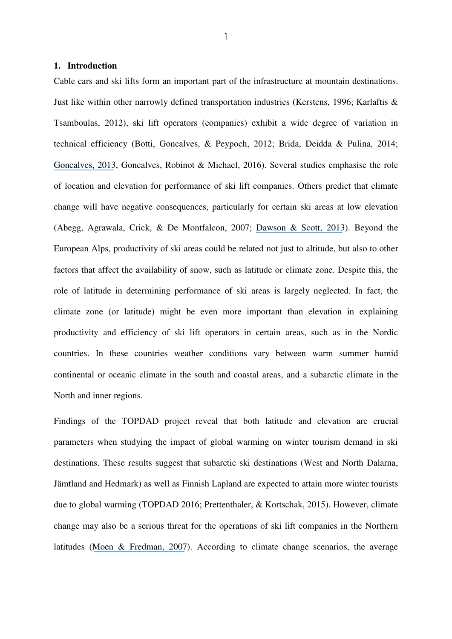#### **1. Introduction**

Cable cars and ski lifts form an important part of the infrastructure at mountain destinations. Just like within other narrowly defined transportation industries (Kerstens, 1996; Karlaftis  $\&$ Tsamboulas, 2012), ski lift operators (companies) exhibit a wide degree of variation in technical efficiency (Botti, Goncalves, & Peypoch, 2012; Brida, Deidda & Pulina, 2014; Goncalves, 2013, Goncalves, Robinot & Michael, 2016). Several studies emphasise the role of location and elevation for performance of ski lift companies. Others predict that climate change will have negative consequences, particularly for certain ski areas at low elevation (Abegg, Agrawala, Crick, & De Montfalcon, 2007; Dawson & Scott, 2013). Beyond the European Alps, productivity of ski areas could be related not just to altitude, but also to other factors that affect the availability of snow, such as latitude or climate zone. Despite this, the role of latitude in determining performance of ski areas is largely neglected. In fact, the climate zone (or latitude) might be even more important than elevation in explaining productivity and efficiency of ski lift operators in certain areas, such as in the Nordic countries. In these countries weather conditions vary between warm summer humid continental or oceanic climate in the south and coastal areas, and a subarctic climate in the North and inner regions.

Findings of the TOPDAD project reveal that both latitude and elevation are crucial parameters when studying the impact of global warming on winter tourism demand in ski destinations. These results suggest that subarctic ski destinations (West and North Dalarna, Jämtland and Hedmark) as well as Finnish Lapland are expected to attain more winter tourists due to global warming (TOPDAD 2016; Prettenthaler, & Kortschak, 2015). However, climate change may also be a serious threat for the operations of ski lift companies in the Northern latitudes (Moen & Fredman, 2007). According to climate change scenarios, the average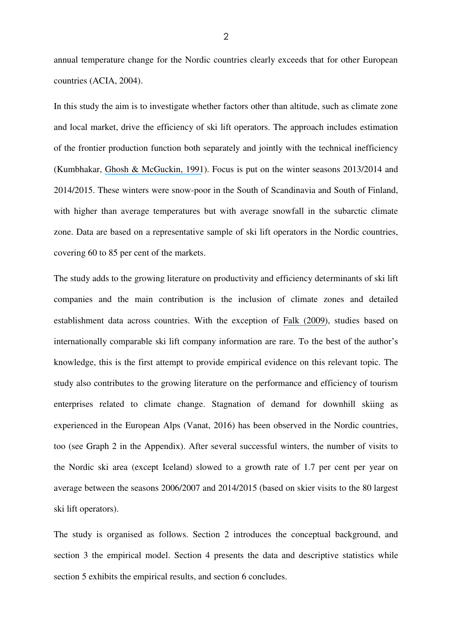annual temperature change for the Nordic countries clearly exceeds that for other European countries (ACIA, 2004).

In this study the aim is to investigate whether factors other than altitude, such as climate zone and local market, drive the efficiency of ski lift operators. The approach includes estimation of the frontier production function both separately and jointly with the technical inefficiency (Kumbhakar, Ghosh & McGuckin, 1991). Focus is put on the winter seasons 2013/2014 and 2014/2015. These winters were snow-poor in the South of Scandinavia and South of Finland, with higher than average temperatures but with average snowfall in the subarctic climate zone. Data are based on a representative sample of ski lift operators in the Nordic countries, covering 60 to 85 per cent of the markets.

The study adds to the growing literature on productivity and efficiency determinants of ski lift companies and the main contribution is the inclusion of climate zones and detailed establishment data across countries. With the exception of Falk (2009), studies based on internationally comparable ski lift company information are rare. To the best of the author's knowledge, this is the first attempt to provide empirical evidence on this relevant topic. The study also contributes to the growing literature on the performance and efficiency of tourism enterprises related to climate change. Stagnation of demand for downhill skiing as experienced in the European Alps (Vanat, 2016) has been observed in the Nordic countries, too (see Graph 2 in the Appendix). After several successful winters, the number of visits to the Nordic ski area (except Iceland) slowed to a growth rate of 1.7 per cent per year on average between the seasons 2006/2007 and 2014/2015 (based on skier visits to the 80 largest ski lift operators).

The study is organised as follows. Section 2 introduces the conceptual background, and section 3 the empirical model. Section 4 presents the data and descriptive statistics while section 5 exhibits the empirical results, and section 6 concludes.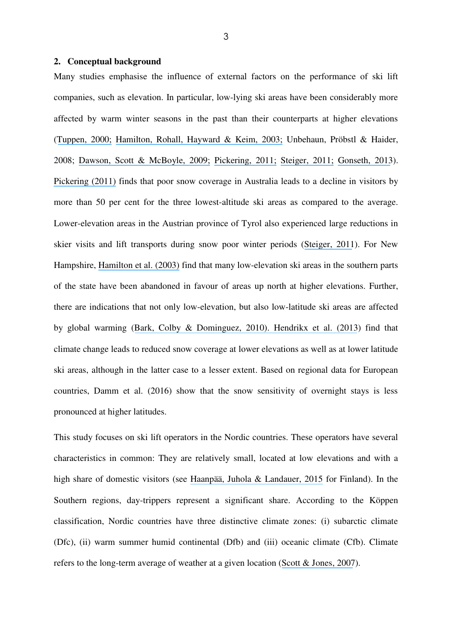#### **2. Conceptual background**

Many studies emphasise the influence of external factors on the performance of ski lift companies, such as elevation. In particular, low-lying ski areas have been considerably more affected by warm winter seasons in the past than their counterparts at higher elevations (Tuppen, 2000; Hamilton, Rohall, Hayward & Keim, 2003; Unbehaun, Pröbstl & Haider, 2008; Dawson, Scott & McBoyle, 2009; Pickering, 2011; Steiger, 2011; Gonseth, 2013). Pickering (2011) finds that poor snow coverage in Australia leads to a decline in visitors by more than 50 per cent for the three lowest-altitude ski areas as compared to the average. Lower-elevation areas in the Austrian province of Tyrol also experienced large reductions in skier visits and lift transports during snow poor winter periods (Steiger, 2011). For New Hampshire, Hamilton et al. (2003) find that many low-elevation ski areas in the southern parts of the state have been abandoned in favour of areas up north at higher elevations. Further, there are indications that not only low-elevation, but also low-latitude ski areas are affected by global warming (Bark, Colby & Dominguez, 2010). Hendrikx et al. (2013) find that climate change leads to reduced snow coverage at lower elevations as well as at lower latitude ski areas, although in the latter case to a lesser extent. Based on regional data for European countries, Damm et al. (2016) show that the snow sensitivity of overnight stays is less pronounced at higher latitudes.

This study focuses on ski lift operators in the Nordic countries. These operators have several characteristics in common: They are relatively small, located at low elevations and with a high share of domestic visitors (see Haanpää, Juhola & Landauer, 2015 for Finland). In the Southern regions, day-trippers represent a significant share. According to the Köppen classification, Nordic countries have three distinctive climate zones: (i) subarctic climate (Dfc), (ii) warm summer humid continental (Dfb) and (iii) oceanic climate (Cfb). Climate refers to the long-term average of weather at a given location (Scott & Jones, 2007).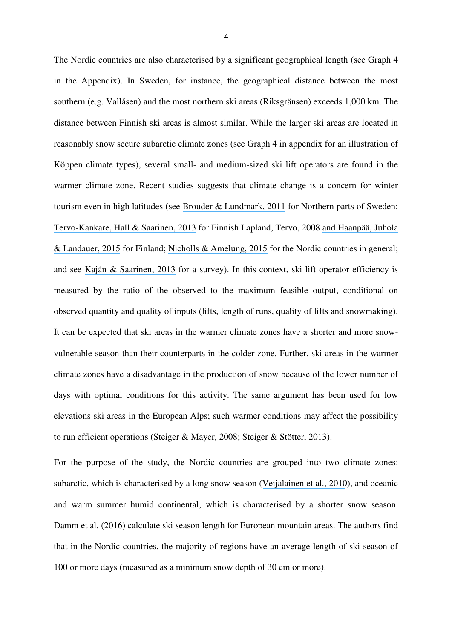The Nordic countries are also characterised by a significant geographical length (see Graph 4 in the Appendix). In Sweden, for instance, the geographical distance between the most southern (e.g. Vallåsen) and the most northern ski areas (Riksgränsen) exceeds 1,000 km. The distance between Finnish ski areas is almost similar. While the larger ski areas are located in reasonably snow secure subarctic climate zones (see Graph 4 in appendix for an illustration of Köppen climate types), several small- and medium-sized ski lift operators are found in the warmer climate zone. Recent studies suggests that climate change is a concern for winter tourism even in high latitudes (see Brouder & Lundmark, 2011 for Northern parts of Sweden; Tervo-Kankare, Hall & Saarinen, 2013 for Finnish Lapland, Tervo, 2008 and Haanpää, Juhola & Landauer, 2015 for Finland; Nicholls & Amelung, 2015 for the Nordic countries in general; and see Kaján & Saarinen, 2013 for a survey). In this context, ski lift operator efficiency is measured by the ratio of the observed to the maximum feasible output, conditional on observed quantity and quality of inputs (lifts, length of runs, quality of lifts and snowmaking). It can be expected that ski areas in the warmer climate zones have a shorter and more snowvulnerable season than their counterparts in the colder zone. Further, ski areas in the warmer climate zones have a disadvantage in the production of snow because of the lower number of days with optimal conditions for this activity. The same argument has been used for low elevations ski areas in the European Alps; such warmer conditions may affect the possibility to run efficient operations (Steiger & Mayer, 2008; Steiger & Stötter, 2013).

For the purpose of the study, the Nordic countries are grouped into two climate zones: subarctic, which is characterised by a long snow season (Veijalainen et al., 2010), and oceanic and warm summer humid continental, which is characterised by a shorter snow season. Damm et al. (2016) calculate ski season length for European mountain areas. The authors find that in the Nordic countries, the majority of regions have an average length of ski season of 100 or more days (measured as a minimum snow depth of 30 cm or more).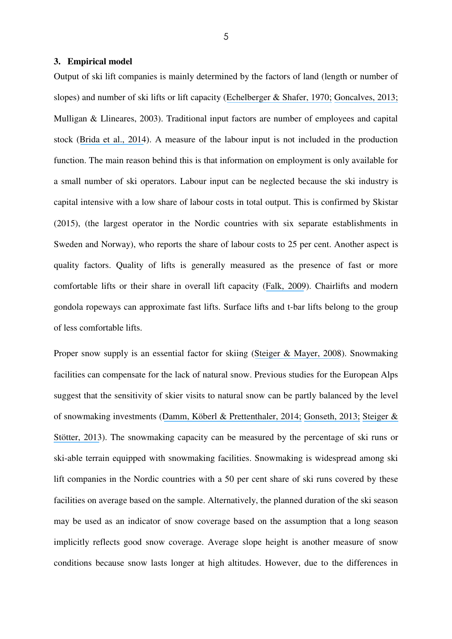#### **3. Empirical model**

Output of ski lift companies is mainly determined by the factors of land (length or number of slopes) and number of ski lifts or lift capacity (Echelberger & Shafer, 1970; Goncalves, 2013; Mulligan & Llineares, 2003). Traditional input factors are number of employees and capital stock (Brida et al., 2014). A measure of the labour input is not included in the production function. The main reason behind this is that information on employment is only available for a small number of ski operators. Labour input can be neglected because the ski industry is capital intensive with a low share of labour costs in total output. This is confirmed by Skistar (2015), (the largest operator in the Nordic countries with six separate establishments in Sweden and Norway), who reports the share of labour costs to 25 per cent. Another aspect is quality factors. Quality of lifts is generally measured as the presence of fast or more comfortable lifts or their share in overall lift capacity (Falk, 2009). Chairlifts and modern gondola ropeways can approximate fast lifts. Surface lifts and t-bar lifts belong to the group of less comfortable lifts.

Proper snow supply is an essential factor for skiing (Steiger & Mayer, 2008). Snowmaking facilities can compensate for the lack of natural snow. Previous studies for the European Alps suggest that the sensitivity of skier visits to natural snow can be partly balanced by the level of snowmaking investments (Damm, Köberl & Prettenthaler, 2014; Gonseth, 2013; Steiger & Stötter, 2013). The snowmaking capacity can be measured by the percentage of ski runs or ski-able terrain equipped with snowmaking facilities. Snowmaking is widespread among ski lift companies in the Nordic countries with a 50 per cent share of ski runs covered by these facilities on average based on the sample. Alternatively, the planned duration of the ski season may be used as an indicator of snow coverage based on the assumption that a long season implicitly reflects good snow coverage. Average slope height is another measure of snow conditions because snow lasts longer at high altitudes. However, due to the differences in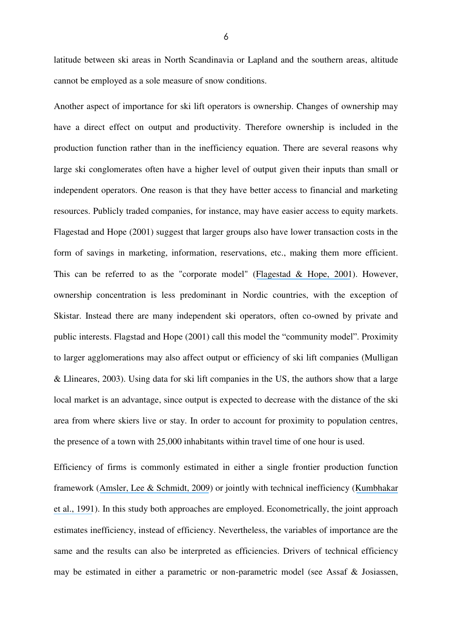latitude between ski areas in North Scandinavia or Lapland and the southern areas, altitude cannot be employed as a sole measure of snow conditions.

Another aspect of importance for ski lift operators is ownership. Changes of ownership may have a direct effect on output and productivity. Therefore ownership is included in the production function rather than in the inefficiency equation. There are several reasons why large ski conglomerates often have a higher level of output given their inputs than small or independent operators. One reason is that they have better access to financial and marketing resources. Publicly traded companies, for instance, may have easier access to equity markets. Flagestad and Hope (2001) suggest that larger groups also have lower transaction costs in the form of savings in marketing, information, reservations, etc., making them more efficient. This can be referred to as the "corporate model" (Flagestad & Hope, 2001). However, ownership concentration is less predominant in Nordic countries, with the exception of Skistar. Instead there are many independent ski operators, often co-owned by private and public interests. Flagstad and Hope (2001) call this model the "community model". Proximity to larger agglomerations may also affect output or efficiency of ski lift companies (Mulligan & Llineares, 2003). Using data for ski lift companies in the US, the authors show that a large local market is an advantage, since output is expected to decrease with the distance of the ski area from where skiers live or stay. In order to account for proximity to population centres, the presence of a town with 25,000 inhabitants within travel time of one hour is used.

Efficiency of firms is commonly estimated in either a single frontier production function framework (Amsler, Lee & Schmidt, 2009) or jointly with technical inefficiency (Kumbhakar et al., 1991). In this study both approaches are employed. Econometrically, the joint approach estimates inefficiency, instead of efficiency. Nevertheless, the variables of importance are the same and the results can also be interpreted as efficiencies. Drivers of technical efficiency may be estimated in either a parametric or non-parametric model (see Assaf & Josiassen,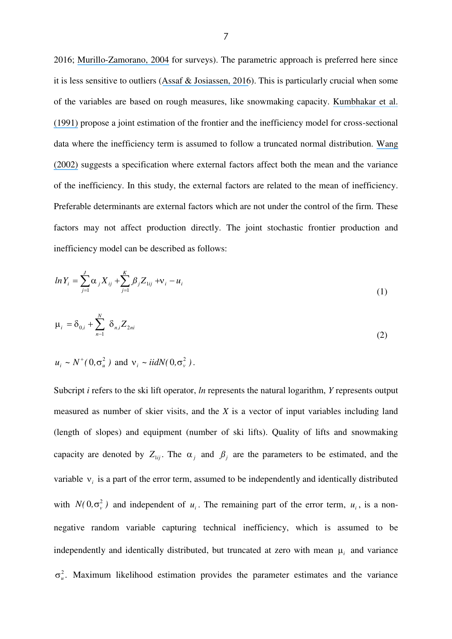2016; Murillo-Zamorano, 2004 for surveys). The parametric approach is preferred here since it is less sensitive to outliers (Assaf & Josiassen, 2016). This is particularly crucial when some of the variables are based on rough measures, like snowmaking capacity. Kumbhakar et al. (1991) propose a joint estimation of the frontier and the inefficiency model for cross-sectional data where the inefficiency term is assumed to follow a truncated normal distribution. Wang (2002) suggests a specification where external factors affect both the mean and the variance of the inefficiency. In this study, the external factors are related to the mean of inefficiency. Preferable determinants are external factors which are not under the control of the firm. These factors may not affect production directly. The joint stochastic frontier production and inefficiency model can be described as follows:

$$
ln Y_i = \sum_{j=1}^{J} \alpha_j X_{ij} + \sum_{j=1}^{K} \beta_j Z_{1ij} + v_i - u_i
$$
\n(1)

$$
\mu_i = \delta_{0,i} + \sum_{n=1}^{N} \delta_{n,i} Z_{2ni}
$$
 (2)

$$
u_i \sim N^+(0, \sigma_u^2)
$$
 and  $v_i \sim \textit{iidN}(0, \sigma_v^2)$ .

Subcript *i* refers to the ski lift operator, *ln* represents the natural logarithm, *Y* represents output measured as number of skier visits, and the *X* is a vector of input variables including land (length of slopes) and equipment (number of ski lifts). Quality of lifts and snowmaking capacity are denoted by  $Z_{1ij}$ . The  $\alpha_j$  and  $\beta_j$  are the parameters to be estimated, and the variable  $v_i$  is a part of the error term, assumed to be independently and identically distributed with  $N(0, \sigma_v^2)$  $(0, \sigma_v^2)$  and independent of  $u_i$ . The remaining part of the error term,  $u_i$ , is a nonnegative random variable capturing technical inefficiency, which is assumed to be independently and identically distributed, but truncated at zero with mean  $\mu_i$  and variance  $\sigma_u^2$ . Maximum likelihood estimation provides the parameter estimates and the variance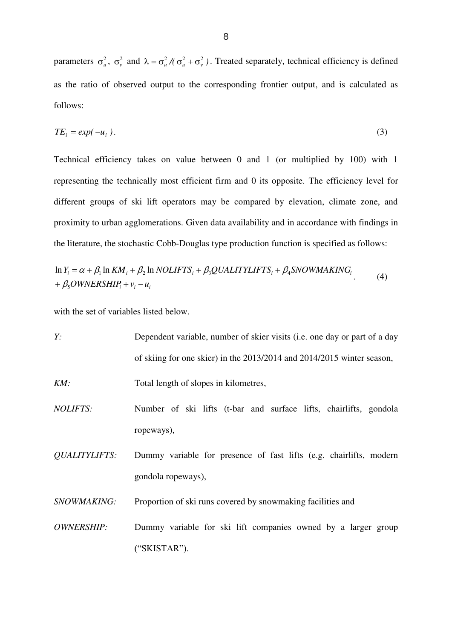parameters  $\sigma_u^2$ ,  $\sigma_v^2$  and  $\lambda = \sigma_u^2 /(\sigma_u^2 + \sigma_v^2)$  $\lambda = \sigma_u^2 / (\sigma_u^2 + \sigma_v^2)$ . Treated separately, technical efficiency is defined as the ratio of observed output to the corresponding frontier output, and is calculated as follows:

$$
TE_i = exp(-u_i). \tag{3}
$$

Technical efficiency takes on value between 0 and 1 (or multiplied by 100) with 1 representing the technically most efficient firm and 0 its opposite. The efficiency level for different groups of ski lift operators may be compared by elevation, climate zone, and proximity to urban agglomerations. Given data availability and in accordance with findings in the literature, the stochastic Cobb-Douglas type production function is specified as follows:

$$
\ln Y_i = \alpha + \beta_1 \ln KM_i + \beta_2 \ln NOLIFTS_i + \beta_3 QUALITYLIFTS_i + \beta_4 SNOWMAKING_i
$$
  
+  $\beta_5 OWNERSHIP_i + v_i - u_i$  (4)

with the set of variables listed below.

*Y*: Dependent variable, number of skier visits (i.e. one day or part of a day of skiing for one skier) in the 2013/2014 and 2014/2015 winter season,

*KM:* Total length of slopes in kilometres,

- *NOLIFTS:* Number of ski lifts (t-bar and surface lifts, chairlifts, gondola ropeways),
- *QUALITYLIFTS:* Dummy variable for presence of fast lifts (e.g. chairlifts, modern gondola ropeways),
- *SNOWMAKING:* Proportion of ski runs covered by snowmaking facilities and

*OWNERSHIP:* Dummy variable for ski lift companies owned by a larger group ("SKISTAR").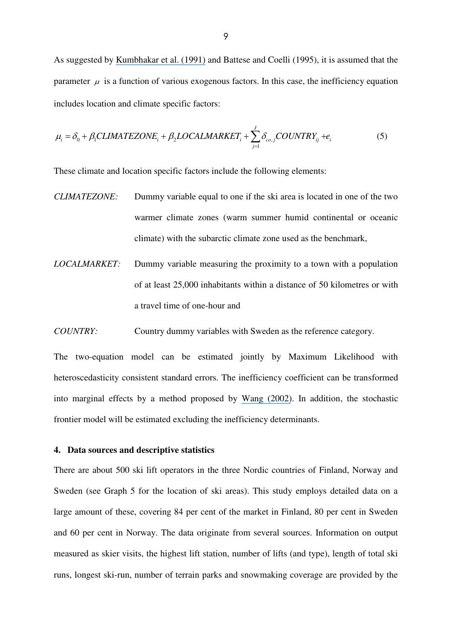As suggested by Kumbhakar et al. (1991) and Battese and Coelli (1995), it is assumed that the parameter  $\mu$  is a function of various exogenous factors. In this case, the inefficiency equation includes location and climate specific factors:

$$
\mu_i = \delta_0 + \beta_1 CLIMATEZONE_i + \beta_2 LOCALMARKET_i + \sum_{j=1}^{J} \delta_{co,j} COUNTRY_{ij} + e_i
$$
\n(5)

These climate and location specific factors include the following elements:

- *CLIMATEZONE:* Dummy variable equal to one if the ski area is located in one of the two warmer climate zones (warm summer humid continental or oceanic climate) with the subarctic climate zone used as the benchmark,
- *LOCALMARKET:* Dummy variable measuring the proximity to a town with a population of at least 25,000 inhabitants within a distance of 50 kilometres or with a travel time of one-hour and

*COUNTRY:* Country dummy variables with Sweden as the reference category.

The two-equation model can be estimated jointly by Maximum Likelihood with heteroscedasticity consistent standard errors. The inefficiency coefficient can be transformed into marginal effects by a method proposed by Wang (2002). In addition, the stochastic frontier model will be estimated excluding the inefficiency determinants.

#### **4. Data sources and descriptive statistics**

There are about 500 ski lift operators in the three Nordic countries of Finland, Norway and Sweden (see Graph 5 for the location of ski areas). This study employs detailed data on a large amount of these, covering 84 per cent of the market in Finland, 80 per cent in Sweden and 60 per cent in Norway. The data originate from several sources. Information on output measured as skier visits, the highest lift station, number of lifts (and type), length of total ski runs, longest ski-run, number of terrain parks and snowmaking coverage are provided by the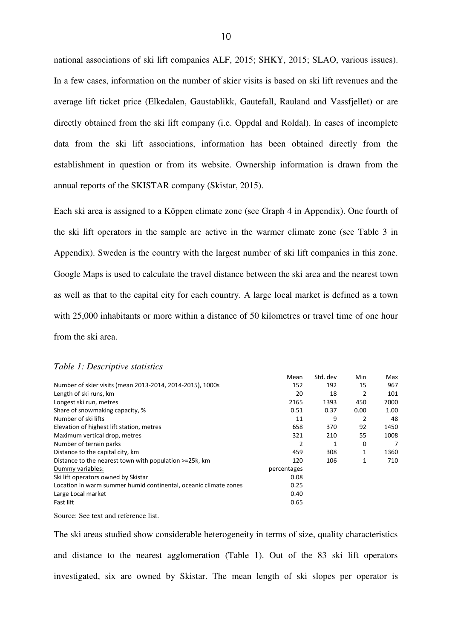national associations of ski lift companies ALF, 2015; SHKY, 2015; SLAO, various issues). In a few cases, information on the number of skier visits is based on ski lift revenues and the average lift ticket price (Elkedalen, Gaustablikk, Gautefall, Rauland and Vassfjellet) or are directly obtained from the ski lift company (i.e. Oppdal and Roldal). In cases of incomplete data from the ski lift associations, information has been obtained directly from the establishment in question or from its website. Ownership information is drawn from the annual reports of the SKISTAR company (Skistar, 2015).

Each ski area is assigned to a Köppen climate zone (see Graph 4 in Appendix). One fourth of the ski lift operators in the sample are active in the warmer climate zone (see Table 3 in Appendix). Sweden is the country with the largest number of ski lift companies in this zone. Google Maps is used to calculate the travel distance between the ski area and the nearest town as well as that to the capital city for each country. A large local market is defined as a town with 25,000 inhabitants or more within a distance of 50 kilometres or travel time of one hour from the ski area.

|                                                                  | Mean        | Std. dev | Min  | Max  |
|------------------------------------------------------------------|-------------|----------|------|------|
| Number of skier visits (mean 2013-2014, 2014-2015), 1000s        | 152         | 192      | 15   | 967  |
| Length of ski runs, km                                           | 20          | 18       | 2    | 101  |
| Longest ski run, metres                                          | 2165        | 1393     | 450  | 7000 |
| Share of snowmaking capacity, %                                  | 0.51        | 0.37     | 0.00 | 1.00 |
| Number of ski lifts                                              | 11          | 9        | 2    | 48   |
| Elevation of highest lift station, metres                        | 658         | 370      | 92   | 1450 |
| Maximum vertical drop, metres                                    | 321         | 210      | 55   | 1008 |
| Number of terrain parks                                          | 2           | 1        | 0    | 7    |
| Distance to the capital city, km                                 | 459         | 308      | 1    | 1360 |
| Distance to the nearest town with population >=25k, km           | 120         | 106      | 1    | 710  |
| Dummy variables:                                                 | percentages |          |      |      |
| Ski lift operators owned by Skistar                              | 0.08        |          |      |      |
| Location in warm summer humid continental, oceanic climate zones | 0.25        |          |      |      |
| Large Local market                                               | 0.40        |          |      |      |
| Fast lift                                                        | 0.65        |          |      |      |
|                                                                  |             |          |      |      |

#### *Table 1: Descriptive statistics*

Source: See text and reference list.

The ski areas studied show considerable heterogeneity in terms of size, quality characteristics and distance to the nearest agglomeration (Table 1). Out of the 83 ski lift operators investigated, six are owned by Skistar. The mean length of ski slopes per operator is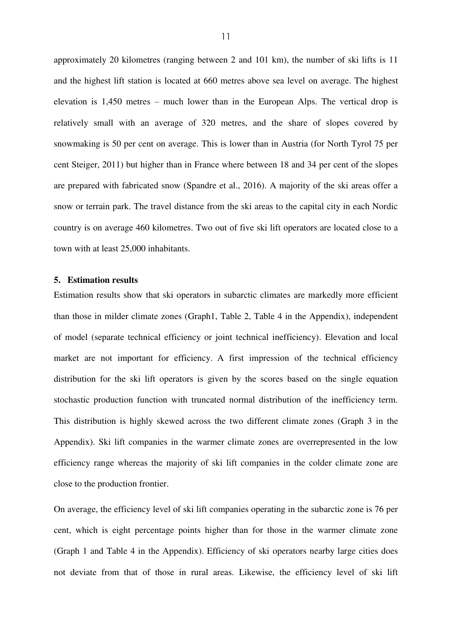approximately 20 kilometres (ranging between 2 and 101 km), the number of ski lifts is 11 and the highest lift station is located at 660 metres above sea level on average. The highest elevation is 1,450 metres – much lower than in the European Alps. The vertical drop is relatively small with an average of 320 metres, and the share of slopes covered by snowmaking is 50 per cent on average. This is lower than in Austria (for North Tyrol 75 per cent Steiger, 2011) but higher than in France where between 18 and 34 per cent of the slopes are prepared with fabricated snow (Spandre et al., 2016). A majority of the ski areas offer a snow or terrain park. The travel distance from the ski areas to the capital city in each Nordic country is on average 460 kilometres. Two out of five ski lift operators are located close to a town with at least 25,000 inhabitants.

### **5. Estimation results**

Estimation results show that ski operators in subarctic climates are markedly more efficient than those in milder climate zones (Graph1, Table 2, Table 4 in the Appendix), independent of model (separate technical efficiency or joint technical inefficiency). Elevation and local market are not important for efficiency. A first impression of the technical efficiency distribution for the ski lift operators is given by the scores based on the single equation stochastic production function with truncated normal distribution of the inefficiency term. This distribution is highly skewed across the two different climate zones (Graph 3 in the Appendix). Ski lift companies in the warmer climate zones are overrepresented in the low efficiency range whereas the majority of ski lift companies in the colder climate zone are close to the production frontier.

On average, the efficiency level of ski lift companies operating in the subarctic zone is 76 per cent, which is eight percentage points higher than for those in the warmer climate zone (Graph 1 and Table 4 in the Appendix). Efficiency of ski operators nearby large cities does not deviate from that of those in rural areas. Likewise, the efficiency level of ski lift

11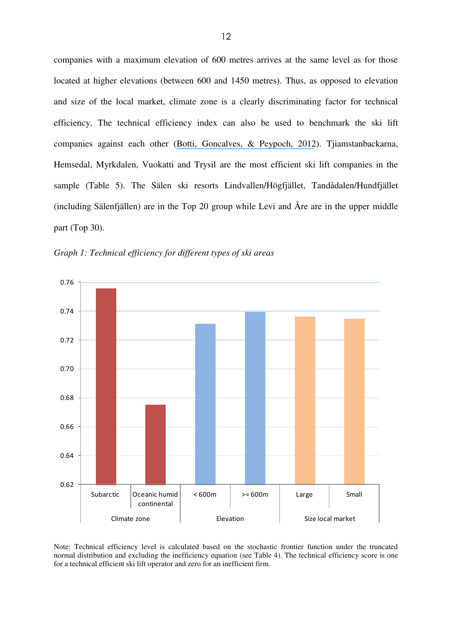companies with a maximum elevation of 600 metres arrives at the same level as for those located at higher elevations (between 600 and 1450 metres). Thus, as opposed to elevation and size of the local market, climate zone is a clearly discriminating factor for technical efficiency. The technical efficiency index can also be used to benchmark the ski lift companies against each other (Botti, Goncalves, & Peypoch, 2012). Tjiamstanbackarna, Hemsedal, Myrkdalen, Vuokatti and Trysil are the most efficient ski lift companies in the sample (Table 5). The Sälen ski resorts Lindvallen/Högfjället, Tandådalen/Hundfjället (including Sälenfjällen) are in the Top 20 group while Levi and Åre are in the upper middle part (Top 30).



*Graph 1: Technical efficiency for different types of ski areas* 

Note: Technical efficiency level is calculated based on the stochastic frontier function under the truncated normal distribution and excluding the inefficiency equation (see Table 4). The technical efficiency score is one for a technical efficient ski lift operator and zero for an inefficient firm.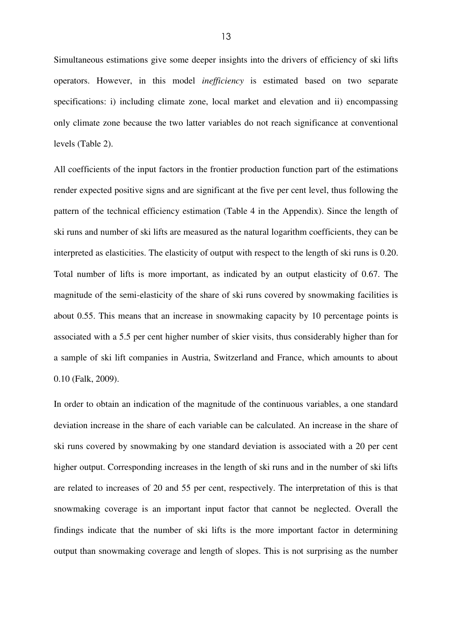Simultaneous estimations give some deeper insights into the drivers of efficiency of ski lifts operators. However, in this model *inefficiency* is estimated based on two separate specifications: i) including climate zone, local market and elevation and ii) encompassing only climate zone because the two latter variables do not reach significance at conventional levels (Table 2).

All coefficients of the input factors in the frontier production function part of the estimations render expected positive signs and are significant at the five per cent level, thus following the pattern of the technical efficiency estimation (Table 4 in the Appendix). Since the length of ski runs and number of ski lifts are measured as the natural logarithm coefficients, they can be interpreted as elasticities. The elasticity of output with respect to the length of ski runs is 0.20. Total number of lifts is more important, as indicated by an output elasticity of 0.67. The magnitude of the semi-elasticity of the share of ski runs covered by snowmaking facilities is about 0.55. This means that an increase in snowmaking capacity by 10 percentage points is associated with a 5.5 per cent higher number of skier visits, thus considerably higher than for a sample of ski lift companies in Austria, Switzerland and France, which amounts to about 0.10 (Falk, 2009).

In order to obtain an indication of the magnitude of the continuous variables, a one standard deviation increase in the share of each variable can be calculated. An increase in the share of ski runs covered by snowmaking by one standard deviation is associated with a 20 per cent higher output. Corresponding increases in the length of ski runs and in the number of ski lifts are related to increases of 20 and 55 per cent, respectively. The interpretation of this is that snowmaking coverage is an important input factor that cannot be neglected. Overall the findings indicate that the number of ski lifts is the more important factor in determining output than snowmaking coverage and length of slopes. This is not surprising as the number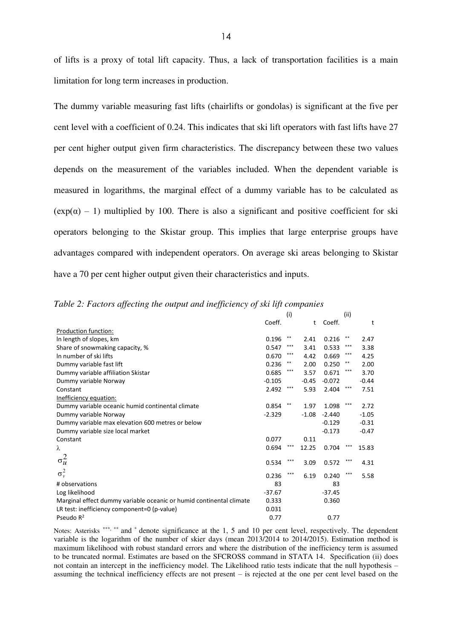of lifts is a proxy of total lift capacity. Thus, a lack of transportation facilities is a main limitation for long term increases in production.

The dummy variable measuring fast lifts (chairlifts or gondolas) is significant at the five per cent level with a coefficient of 0.24. This indicates that ski lift operators with fast lifts have 27 per cent higher output given firm characteristics. The discrepancy between these two values depends on the measurement of the variables included. When the dependent variable is measured in logarithms, the marginal effect of a dummy variable has to be calculated as  $(\exp(\alpha) - 1)$  multiplied by 100. There is also a significant and positive coefficient for ski operators belonging to the Skistar group. This implies that large enterprise groups have advantages compared with independent operators. On average ski areas belonging to Skistar have a 70 per cent higher output given their characteristics and inputs.

|                                                                     |          | (i)   |         |          | (ii) |         |
|---------------------------------------------------------------------|----------|-------|---------|----------|------|---------|
|                                                                     | Coeff.   |       | t       | Coeff.   |      | t       |
| Production function:                                                |          |       |         |          |      |         |
| In length of slopes, km                                             | 0.196    | $***$ | 2.41    | 0.216    |      | 2.47    |
| Share of snowmaking capacity, %                                     | 0.547    |       | 3.41    | 0.533    | ***  | 3.38    |
| In number of ski lifts                                              | 0.670    | ***   | 4.42    | 0.669    | ***  | 4.25    |
| Dummy variable fast lift                                            | 0.236    |       | 2.00    | 0.250    | **   | 2.00    |
| Dummy variable affiliation Skistar                                  | 0.685    |       | 3.57    | 0.671    | ***  | 3.70    |
| Dummy variable Norway                                               | $-0.105$ |       | $-0.45$ | $-0.072$ |      | $-0.44$ |
| Constant                                                            | 2.492    |       | 5.93    | 2.404    | ***  | 7.51    |
| Inefficiency equation:                                              |          |       |         |          |      |         |
| Dummy variable oceanic humid continental climate                    | 0.854    |       | 1.97    | 1.098    | ***  | 2.72    |
| Dummy variable Norway                                               | $-2.329$ |       | $-1.08$ | $-2.440$ |      | $-1.05$ |
| Dummy variable max elevation 600 metres or below                    |          |       |         | $-0.129$ |      | $-0.31$ |
| Dummy variable size local market                                    |          |       |         | $-0.173$ |      | $-0.47$ |
| Constant                                                            | 0.077    |       | 0.11    |          |      |         |
| λ                                                                   | 0.694    |       | 12.25   | 0.704    |      | 15.83   |
| $\sigma_{\mu}^2$                                                    |          |       |         |          |      |         |
|                                                                     | 0.534    | ***   | 3.09    | 0.572    | ***  | 4.31    |
| $\sigma_v^2$                                                        | 0.236    | ***   | 6.19    | 0.240    | ***  | 5.58    |
| # observations                                                      | 83       |       |         | 83       |      |         |
| Log likelihood                                                      | $-37.67$ |       |         | $-37.45$ |      |         |
| Marginal effect dummy variable oceanic or humid continental climate | 0.333    |       |         | 0.360    |      |         |
| LR test: inefficiency component=0 (p-value)                         | 0.031    |       |         |          |      |         |
| Pseudo $R^2$                                                        | 0.77     |       |         | 0.77     |      |         |

*Table 2: Factors affecting the output and inefficiency of ski lift companies*

Notes: Asterisks \*\*\*, \*\* and \* denote significance at the 1, 5 and 10 per cent level, respectively. The dependent variable is the logarithm of the number of skier days (mean 2013/2014 to 2014/2015). Estimation method is maximum likelihood with robust standard errors and where the distribution of the inefficiency term is assumed to be truncated normal. Estimates are based on the SFCROSS command in STATA 14. Specification (ii) does not contain an intercept in the inefficiency model. The Likelihood ratio tests indicate that the null hypothesis – assuming the technical inefficiency effects are not present – is rejected at the one per cent level based on the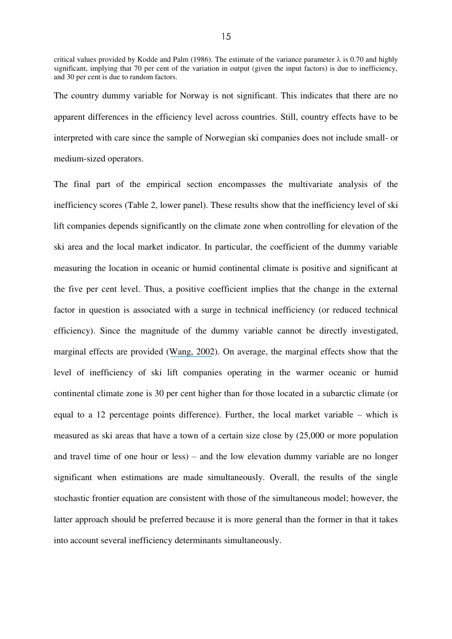critical values provided by Kodde and Palm (1986). The estimate of the variance parameter  $\lambda$  is 0.70 and highly significant, implying that 70 per cent of the variation in output (given the input factors) is due to inefficiency, and 30 per cent is due to random factors.

The country dummy variable for Norway is not significant. This indicates that there are no apparent differences in the efficiency level across countries. Still, country effects have to be interpreted with care since the sample of Norwegian ski companies does not include small- or medium-sized operators.

The final part of the empirical section encompasses the multivariate analysis of the inefficiency scores (Table 2, lower panel). These results show that the inefficiency level of ski lift companies depends significantly on the climate zone when controlling for elevation of the ski area and the local market indicator. In particular, the coefficient of the dummy variable measuring the location in oceanic or humid continental climate is positive and significant at the five per cent level. Thus, a positive coefficient implies that the change in the external factor in question is associated with a surge in technical inefficiency (or reduced technical efficiency). Since the magnitude of the dummy variable cannot be directly investigated, marginal effects are provided (Wang, 2002). On average, the marginal effects show that the level of inefficiency of ski lift companies operating in the warmer oceanic or humid continental climate zone is 30 per cent higher than for those located in a subarctic climate (or equal to a 12 percentage points difference). Further, the local market variable – which is measured as ski areas that have a town of a certain size close by (25,000 or more population and travel time of one hour or less) – and the low elevation dummy variable are no longer significant when estimations are made simultaneously. Overall, the results of the single stochastic frontier equation are consistent with those of the simultaneous model; however, the latter approach should be preferred because it is more general than the former in that it takes into account several inefficiency determinants simultaneously.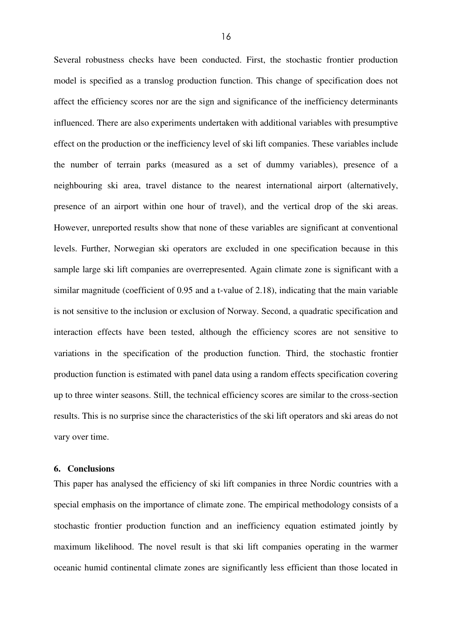Several robustness checks have been conducted. First, the stochastic frontier production model is specified as a translog production function. This change of specification does not affect the efficiency scores nor are the sign and significance of the inefficiency determinants influenced. There are also experiments undertaken with additional variables with presumptive effect on the production or the inefficiency level of ski lift companies. These variables include the number of terrain parks (measured as a set of dummy variables), presence of a neighbouring ski area, travel distance to the nearest international airport (alternatively, presence of an airport within one hour of travel), and the vertical drop of the ski areas. However, unreported results show that none of these variables are significant at conventional levels. Further, Norwegian ski operators are excluded in one specification because in this sample large ski lift companies are overrepresented. Again climate zone is significant with a similar magnitude (coefficient of 0.95 and a t-value of 2.18), indicating that the main variable is not sensitive to the inclusion or exclusion of Norway. Second, a quadratic specification and interaction effects have been tested, although the efficiency scores are not sensitive to variations in the specification of the production function. Third, the stochastic frontier production function is estimated with panel data using a random effects specification covering up to three winter seasons. Still, the technical efficiency scores are similar to the cross-section results. This is no surprise since the characteristics of the ski lift operators and ski areas do not vary over time.

## **6. Conclusions**

This paper has analysed the efficiency of ski lift companies in three Nordic countries with a special emphasis on the importance of climate zone. The empirical methodology consists of a stochastic frontier production function and an inefficiency equation estimated jointly by maximum likelihood. The novel result is that ski lift companies operating in the warmer oceanic humid continental climate zones are significantly less efficient than those located in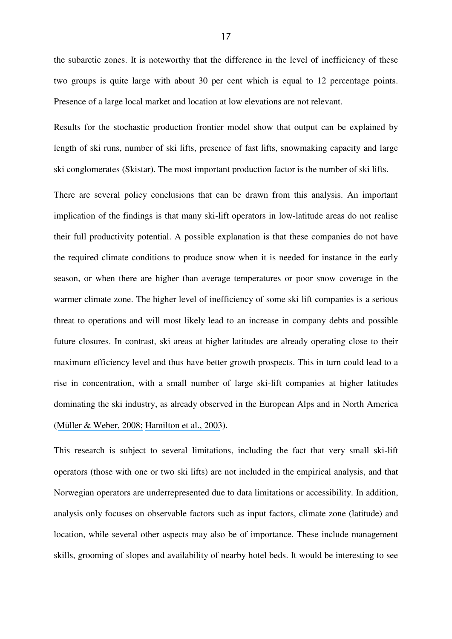the subarctic zones. It is noteworthy that the difference in the level of inefficiency of these two groups is quite large with about 30 per cent which is equal to 12 percentage points. Presence of a large local market and location at low elevations are not relevant.

Results for the stochastic production frontier model show that output can be explained by length of ski runs, number of ski lifts, presence of fast lifts, snowmaking capacity and large ski conglomerates (Skistar). The most important production factor is the number of ski lifts.

There are several policy conclusions that can be drawn from this analysis. An important implication of the findings is that many ski-lift operators in low-latitude areas do not realise their full productivity potential. A possible explanation is that these companies do not have the required climate conditions to produce snow when it is needed for instance in the early season, or when there are higher than average temperatures or poor snow coverage in the warmer climate zone. The higher level of inefficiency of some ski lift companies is a serious threat to operations and will most likely lead to an increase in company debts and possible future closures. In contrast, ski areas at higher latitudes are already operating close to their maximum efficiency level and thus have better growth prospects. This in turn could lead to a rise in concentration, with a small number of large ski-lift companies at higher latitudes dominating the ski industry, as already observed in the European Alps and in North America (Müller & Weber, 2008; Hamilton et al., 2003).

This research is subject to several limitations, including the fact that very small ski-lift operators (those with one or two ski lifts) are not included in the empirical analysis, and that Norwegian operators are underrepresented due to data limitations or accessibility. In addition, analysis only focuses on observable factors such as input factors, climate zone (latitude) and location, while several other aspects may also be of importance. These include management skills, grooming of slopes and availability of nearby hotel beds. It would be interesting to see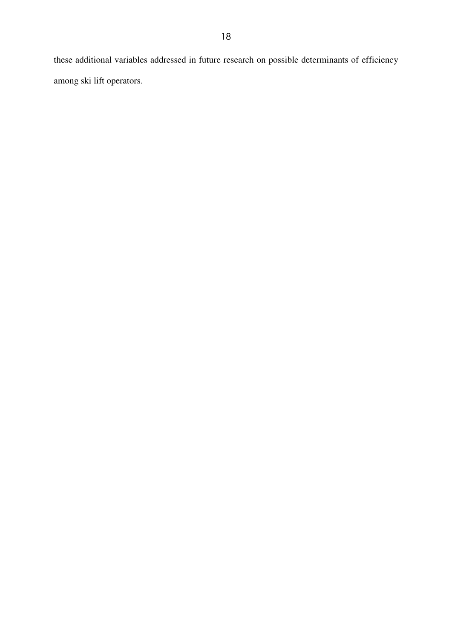these additional variables addressed in future research on possible determinants of efficiency among ski lift operators.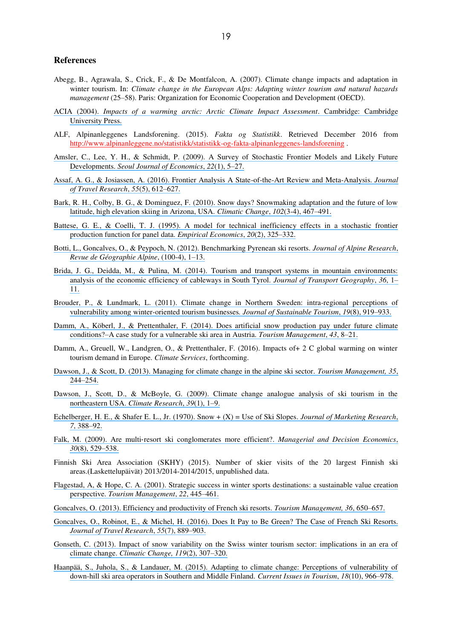#### **References**

- Abegg, B., Agrawala, S., Crick, F., & De Montfalcon, A. (2007). Climate change impacts and adaptation in winter tourism. In: *Climate change in the European Alps: Adapting winter tourism and natural hazards management* (25–58). Paris: Organization for Economic Cooperation and Development (OECD).
- ACIA (2004). *Impacts of a warming arctic: Arctic Climate Impact Assessment*. Cambridge: Cambridge University Press.
- ALF, Alpinanleggenes Landsforening. (2015). *Fakta og Statistikk*. Retrieved December 2016 from <http://www.alpinanleggene.no/statistikk/statistikk-og-fakta-alpinanleggenes-landsforening>.
- Amsler, C., Lee, Y. H., & Schmidt, P. (2009). A Survey of Stochastic Frontier Models and Likely Future Developments. *Seoul Journal of Economics*, *22*(1), 5–27.
- Assaf, A. G., & Josiassen, A. (2016). Frontier Analysis A State-of-the-Art Review and Meta-Analysis. *Journal of Travel Research*, *55*(5), 612–627.
- Bark, R. H., Colby, B. G., & Dominguez, F. (2010). Snow days? Snowmaking adaptation and the future of low latitude, high elevation skiing in Arizona, USA. *Climatic Change*, *102*(3-4), 467–491.
- Battese, G. E., & Coelli, T. J. (1995). A model for technical inefficiency effects in a stochastic frontier production function for panel data. *Empirical Economics*, *20*(2), 325–332.
- Botti, L., Goncalves, O., & Peypoch, N. (2012). Benchmarking Pyrenean ski resorts. *Journal of Alpine Research*, *Revue de Géographie Alpine*, (100-4), 1–13.
- Brida, J. G., Deidda, M., & Pulina, M. (2014). Tourism and transport systems in mountain environments: analysis of the economic efficiency of cableways in South Tyrol. *Journal of Transport Geography*, *36*, 1– 11.
- Brouder, P., & Lundmark, L. (2011). Climate change in Northern Sweden: intra-regional perceptions of vulnerability among winter-oriented tourism businesses*. Journal of Sustainable Tourism*, *19*(8), 919–933.
- Damm, A., Köberl, J., & Prettenthaler, F. (2014). Does artificial snow production pay under future climate conditions?–A case study for a vulnerable ski area in Austria. *Tourism Management*, *43*, 8–21.
- Damm, A., Greuell, W., Landgren, O., & Prettenthaler, F. (2016). Impacts of + 2 C global warming on winter tourism demand in Europe. *Climate Services*, forthcoming.
- Dawson, J., & Scott, D. (2013). Managing for climate change in the alpine ski sector. *Tourism Management, 35*, 244–254.
- Dawson, J., Scott, D., & McBoyle, G. (2009). Climate change analogue analysis of ski tourism in the northeastern USA. *Climate Research*, *39*(1), 1–9.
- Echelberger, H. E., & Shafer E. L., Jr. (1970). Snow + (X) = Use of Ski Slopes. *Journal of Marketing Research*, *7*, 388–92.
- Falk, M. (2009). Are multi‐resort ski conglomerates more efficient?. *Managerial and Decision Economics*, *30*(8), 529–538.
- Finnish Ski Area Association (SKHY) (2015). Number of skier visits of the 20 largest Finnish ski areas.(Laskettelupäivät) 2013/2014-2014/2015, unpublished data.
- Flagestad, A, & Hope, C. A. (2001). Strategic success in winter sports destinations: a sustainable value creation perspective. *Tourism Management*, *22*, 445–461.
- Goncalves, O. (2013). Efficiency and productivity of French ski resorts. *Tourism Management, 36*, 650–657.
- Goncalves, O., Robinot, E., & Michel, H. (2016). Does It Pay to Be Green? The Case of French Ski Resorts. *Journal of Travel Research*, *55*(7), 889–903.
- Gonseth, C. (2013). Impact of snow variability on the Swiss winter tourism sector: implications in an era of climate change. *Climatic Change, 119*(2), 307–320.
- Haanpää, S., Juhola, S., & Landauer, M. (2015). Adapting to climate change: Perceptions of vulnerability of down-hill ski area operators in Southern and Middle Finland. *Current Issues in Tourism*, *18*(10), 966–978.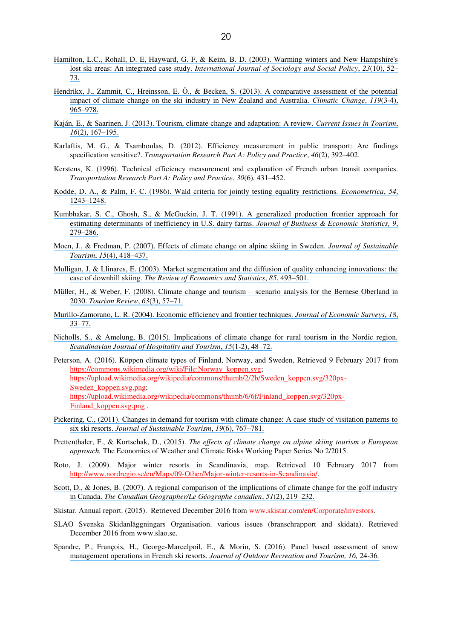- Hamilton, L.C., Rohall, D. E, Hayward, G. F, & Keim, B. D. (2003). Warming winters and New Hampshire's lost ski areas: An integrated case study. *International Journal of Sociology and Social Policy*, *23*(10), 52– 73.
- Hendrikx, J., Zammit, C., Hreinsson, E. Ö., & Becken, S. (2013). A comparative assessment of the potential impact of climate change on the ski industry in New Zealand and Australia. *Climatic Change*, *119*(3-4), 965–978.
- Kaján, E., & Saarinen, J. (2013). Tourism, climate change and adaptation: A review. *Current Issues in Tourism*, *16*(2), 167–195.
- Karlaftis, M. G., & Tsamboulas, D. (2012). Efficiency measurement in public transport: Are findings specification sensitive?. *Transportation Research Part A: Policy and Practice*, *46*(2), 392–402.
- Kerstens, K. (1996). Technical efficiency measurement and explanation of French urban transit companies. *Transportation Research Part A: Policy and Practice*, *30*(6), 431–452.
- Kodde, D. A., & Palm, F. C. (1986). Wald criteria for jointly testing equality restrictions. *Econometrica*, *54*, 1243–1248.
- Kumbhakar, S. C., Ghosh, S., & McGuckin, J. T. (1991). A generalized production frontier approach for estimating determinants of inefficiency in U.S. dairy farms. *Journal of Business & Economic Statistics, 9*, 279–286.
- Moen, J., & Fredman, P. (2007). Effects of climate change on alpine skiing in Sweden. *Journal of Sustainable Tourism*, *15*(4), 418–437.
- Mulligan, J, & Llinares, E. (2003). Market segmentation and the diffusion of quality enhancing innovations: the case of downhill skiing. *The Review of Economics and Statistics*, *85*, 493–501.
- Müller, H., & Weber, F. (2008). Climate change and tourism scenario analysis for the Bernese Oberland in 2030. *Tourism Review*, *63*(3), 57–71.
- Murillo-Zamorano, L. R. (2004). Economic efficiency and frontier techniques. *Journal of Economic Surveys*, *18*, 33–77.
- Nicholls, S., & Amelung, B. (2015). Implications of climate change for rural tourism in the Nordic region. *Scandinavian Journal of Hospitality and Tourism*, *15*(1-2), 48–72.
- Peterson, A. (2016). Köppen climate types of Finland, Norway, and Sweden, Retrieved 9 February 2017 from [https://commons.wikimedia.org/wiki/File:Norway\\_koppen.svg;](https://commons.wikimedia.org/wiki/File:Norway_koppen.svg) [https://upload.wikimedia.org/wikipedia/commons/thumb/2/2b/Sweden\\_koppen.svg/320px-](https://upload.wikimedia.org/wikipedia/commons/thumb/2/2b/Sweden_koppen.svg/320px-Sweden_koppen.svg.png)Sweden koppen.svg.png; [https://upload.wikimedia.org/wikipedia/commons/thumb/6/6f/Finland\\_koppen.svg/320px-](https://upload.wikimedia.org/wikipedia/commons/thumb/6/6f/Finland_koppen.svg/320px-Finland_koppen.svg.png)Finland koppen.svg.png.
- Pickering, C., (2011). Changes in demand for tourism with climate change: A case study of visitation patterns to six ski resorts. *Journal of Sustainable Tourism*, *19*(6), 767–781.
- Prettenthaler, F., & Kortschak, D., (2015). *The effects of climate change on alpine skiing tourism a European approach.* The Economics of Weather and Climate Risks Working Paper Series No 2/2015.
- Roto, J. (2009). Major winter resorts in Scandinavia, map. Retrieved 10 February 2017 from [http://www.nordregio.se/en/Maps/09-Other/Major-winter-resorts-in-Scandinavia/.](http://www.nordregio.se/en/Maps/09-Other/Major-winter-resorts-in-Scandinavia/)
- Scott, D., & Jones, B. (2007). A regional comparison of the implications of climate change for the golf industry in Canada. *The Canadian Geographer/Le Géographe canadien*, *51*(2), 219–232.
- Skistar. Annual report. (2015). Retrieved December 2016 from [www.skistar.com/en/Corporate/investors.](http://www.skistar.com/en/Corporate/investors)
- SLAO Svenska Skidanläggningars Organisation. various issues (branschrapport and skidata). Retrieved December 2016 from www.slao.se.
- Spandre, P., François, H., George-Marcelpoil, E., & Morin, S. (2016). Panel based assessment of snow management operations in French ski resorts. *Journal of Outdoor Recreation and Tourism, 16, 24-36.*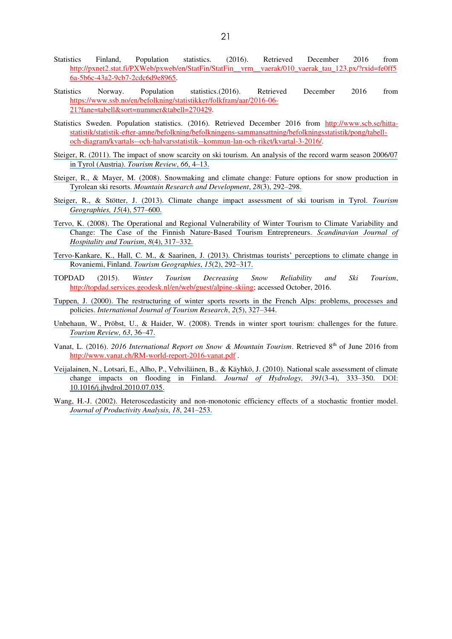- Statistics Finland, Population statistics. (2016). Retrieved December 2016 from http://pxnet2.stat.fi/PXWeb/pxweb/en/StatFin/StatFin\_vrm\_vaerak/010\_vaerak\_tau\_123.px/?rxid=fe0ff5 [6a-5b6c-43a2-9cb7-2cdc6d9e8965.](http://pxnet2.stat.fi/PXWeb/pxweb/en/StatFin/StatFin__vrm__vaerak/010_vaerak_tau_123.px/?rxid=fe0ff56a-5b6c-43a2-9cb7-2cdc6d9e8965)
- Statistics Norway. Population statistics.(2016). Retrieved December 2016 from [https://www.ssb.no/en/befolkning/statistikker/folkfram/aar/2016-06-](https://www.ssb.no/en/befolkning/statistikker/folkfram/aar/2016-06-21?fane=tabell&sort=nummer&tabell=270429) [21?fane=tabell&sort=nummer&tabell=270429.](https://www.ssb.no/en/befolkning/statistikker/folkfram/aar/2016-06-21?fane=tabell&sort=nummer&tabell=270429)
- Statistics Sweden. Population statistics. (2016). Retrieved December 2016 from [http://www.scb.se/hitta](http://www.scb.se/hitta-statistik/statistik-efter-amne/befolkning/befolkningens-sammansattning/befolkningsstatistik/pong/tabell-och-diagram/kvartals--och-halvarsstatistik--kommun-lan-och-riket/kvartal-3-2016/)[statistik/statistik-efter-amne/befolkning/befolkningens-sammansattning/befolkningsstatistik/pong/tabell](http://www.scb.se/hitta-statistik/statistik-efter-amne/befolkning/befolkningens-sammansattning/befolkningsstatistik/pong/tabell-och-diagram/kvartals--och-halvarsstatistik--kommun-lan-och-riket/kvartal-3-2016/)[och-diagram/kvartals--och-halvarsstatistik--kommun-lan-och-riket/kvartal-3-2016/.](http://www.scb.se/hitta-statistik/statistik-efter-amne/befolkning/befolkningens-sammansattning/befolkningsstatistik/pong/tabell-och-diagram/kvartals--och-halvarsstatistik--kommun-lan-och-riket/kvartal-3-2016/)
- Steiger, R. (2011). The impact of snow scarcity on ski tourism. An analysis of the record warm season 2006/07 in Tyrol (Austria). *Tourism Review*, *66*, 4–13.
- Steiger, R., & Mayer, M. (2008). Snowmaking and climate change: Future options for snow production in Tyrolean ski resorts. *Mountain Research and Development*, *28*(3), 292–298.
- Steiger, R., & Stötter, J. (2013). Climate change impact assessment of ski tourism in Tyrol. *Tourism Geographies, 15*(4), 577–600.
- Tervo, K. (2008). The Operational and Regional Vulnerability of Winter Tourism to Climate Variability and Change: The Case of the Finnish Nature‐Based Tourism Entrepreneurs. *Scandinavian Journal of Hospitality and Tourism*, *8*(4), 317–332.
- Tervo-Kankare, K., Hall, C. M., & Saarinen, J. (2013). Christmas tourists' perceptions to climate change in Rovaniemi, Finland. *Tourism Geographies*, *15*(2), 292–317.
- TOPDAD (2015). *Winter Tourism Decreasing Snow Reliability and Ski Tourism*, [http://topdad.services.geodesk.nl/en/web/guest/alpine-skiing;](http://topdad.services.geodesk.nl/en/web/guest/alpine-skiing) accessed October, 2016.
- Tuppen, J. (2000). The restructuring of winter sports resorts in the French Alps: problems, processes and policies. *International Journal of Tourism Research*, *2*(5), 327–344.
- Unbehaun, W., Pröbst, U., & Haider, W. (2008). Trends in winter sport tourism: challenges for the future. *Tourism Review, 63*, 36–47.
- Vanat, L. (2016). *2016 International Report on Snow & Mountain Tourism*. Retrieved 8<sup>th</sup> of June 2016 from <http://www.vanat.ch/RM-world-report-2016-vanat.pdf>.
- Veijalainen, N., Lotsari, E., Alho, P., Vehviläinen, B., & Käyhkö, J. (2010). National scale assessment of climate change impacts on flooding in Finland. *Journal of Hydrology, 391*(3-4), 333–350. DOI: [10.1016/j.jhydrol.2010.07.035.](http://dx.doi.org/10.1016/j.jhydrol.2010.07.035)
- Wang, H.-J. (2002). Heteroscedasticity and non-monotonic efficiency effects of a stochastic frontier model. *Journal of Productivity Analysis*, *18*, 241–253.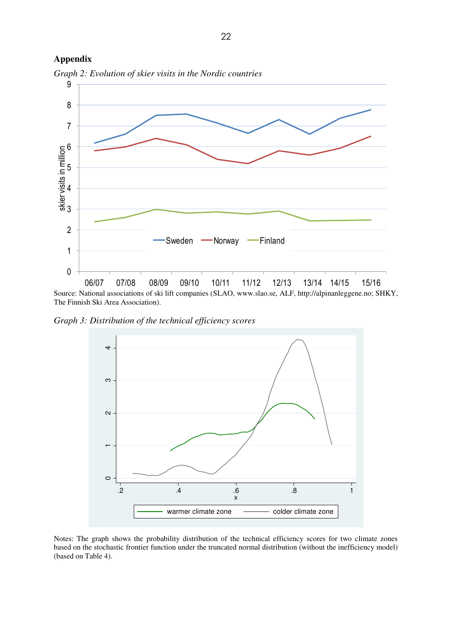





The Finnish Ski Area Association).

*Graph 3: Distribution of the technical efficiency scores* 



Notes: The graph shows the probability distribution of the technical efficiency scores for two climate zones based on the stochastic frontier function under the truncated normal distribution (without the inefficiency model) (based on Table 4).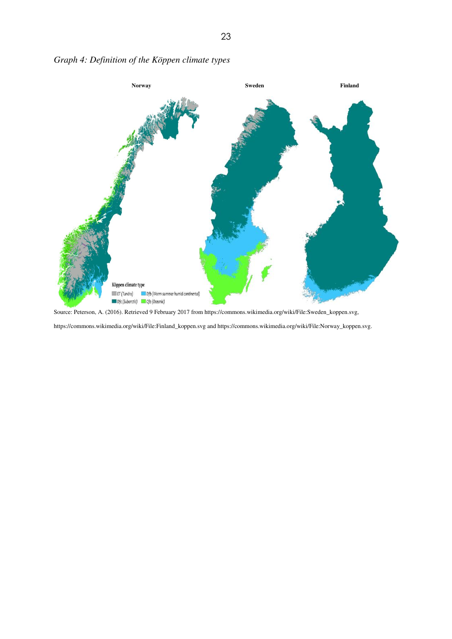

*Graph 4: Definition of the Köppen climate types* 

Source: Peterson, A. (2016). Retrieved 9 February 2017 from https://commons.wikimedia.org/wiki/File:Sweden\_koppen.svg,

https://commons.wikimedia.org/wiki/File:Finland\_koppen.svg and https://commons.wikimedia.org/wiki/File:Norway\_koppen.svg.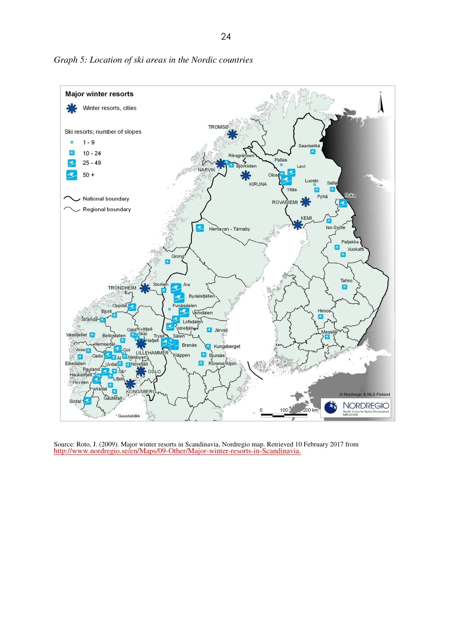

*Graph 5: Location of ski areas in the Nordic countries*

Source: Roto, J. (2009). Major winter resorts in Scandinavia, Nordregio map. Retrieved 10 February 2017 from [http://www.nordregio.se/en/Maps/09-Other/Major-winter-resorts-in-Scandinavia.](http://www.nordregio.se/en/Maps/09-Other/Major-winter-resorts-in-Scandinavia./)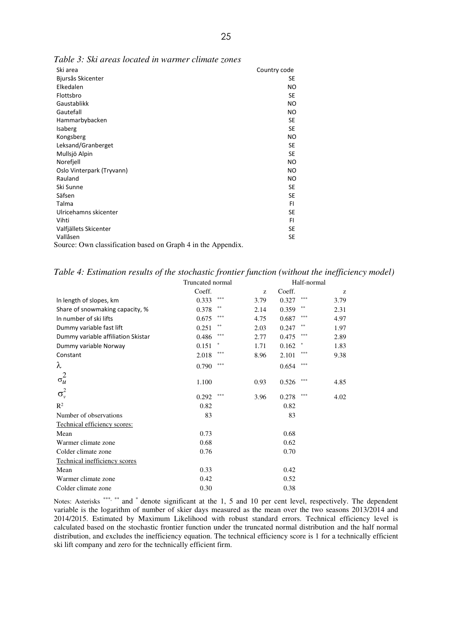| Ski area                                                     | Country code |
|--------------------------------------------------------------|--------------|
| Bjursås Skicenter                                            | SE.          |
| Elkedalen                                                    | NO           |
| Flottsbro                                                    | <b>SE</b>    |
| Gaustablikk                                                  | NO.          |
| Gautefall                                                    | NO.          |
| Hammarbybacken                                               | <b>SE</b>    |
| Isaberg                                                      | <b>SE</b>    |
| Kongsberg                                                    | NO.          |
| Leksand/Granberget                                           | <b>SE</b>    |
| Mullsjö Alpin                                                | <b>SE</b>    |
| Norefjell                                                    | NO.          |
| Oslo Vinterpark (Tryvann)                                    | NO.          |
| Rauland                                                      | NO.          |
| Ski Sunne                                                    | <b>SE</b>    |
| Säfsen                                                       | <b>SE</b>    |
| Talma                                                        | FI.          |
| Ulricehamns skicenter                                        | <b>SE</b>    |
| Vihti                                                        | FI.          |
| Valfjällets Skicenter                                        | <b>SE</b>    |
| Vallåsen                                                     | <b>SE</b>    |
| Source: Own classification based on Graph 4 in the Appendix. |              |

*Table 3: Ski areas located in warmer climate zones*

*Table 4: Estimation results of the stochastic frontier function (without the inefficiency model)* 

|                                    | Truncated normal |             | Half-normal  |      |
|------------------------------------|------------------|-------------|--------------|------|
|                                    | Coeff.           | z           | Coeff.       | z    |
| In length of slopes, km            | 0.333            | ***<br>3.79 | ***<br>0.327 | 3.79 |
| Share of snowmaking capacity, %    | 0.378            | **<br>2.14  | **<br>0.359  | 2.31 |
| In number of ski lifts             | 0.675            | ***<br>4.75 | ***<br>0.687 | 4.97 |
| Dummy variable fast lift           | 0.251            | **<br>2.03  | **<br>0.247  | 1.97 |
| Dummy variable affiliation Skistar | 0.486            | ***<br>2.77 | ***<br>0.475 | 2.89 |
| Dummy variable Norway              | 0.151            | 1.71        | 0.162        | 1.83 |
| Constant                           | 2.018            | ***<br>8.96 | ***<br>2.101 | 9.38 |
| λ                                  | 0.790            | ***         | ***<br>0.654 |      |
| $\sigma^2_{\mathcal{U}}$           | 1.100            | 0.93        | ***<br>0.526 | 4.85 |
| $\sigma_v^2$                       | 0.292            | ***<br>3.96 | ***<br>0.278 | 4.02 |
| $R^2$                              | 0.82             |             | 0.82         |      |
| Number of observations             | 83               |             | 83           |      |
| Technical efficiency scores:       |                  |             |              |      |
| Mean                               | 0.73             |             | 0.68         |      |
| Warmer climate zone                | 0.68             |             | 0.62         |      |
| Colder climate zone                | 0.76             |             | 0.70         |      |
| Technical inefficiency scores      |                  |             |              |      |
| Mean                               | 0.33             |             | 0.42         |      |
| Warmer climate zone                | 0.42             |             | 0.52         |      |
| Colder climate zone                | 0.30             |             | 0.38         |      |

Notes: Asterisks \*\*\*, \*\* and \* denote significant at the 1, 5 and 10 per cent level, respectively. The dependent variable is the logarithm of number of skier days measured as the mean over the two seasons 2013/2014 and 2014/2015. Estimated by Maximum Likelihood with robust standard errors. Technical efficiency level is calculated based on the stochastic frontier function under the truncated normal distribution and the half normal distribution, and excludes the inefficiency equation. The technical efficiency score is 1 for a technically efficient ski lift company and zero for the technically efficient firm.